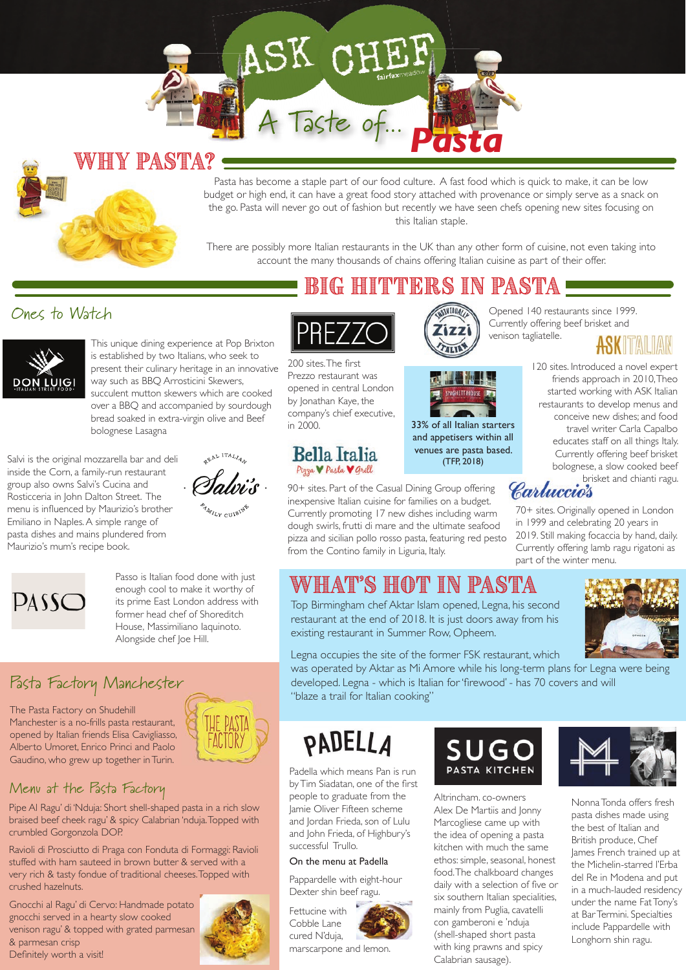# ASK CHE

A Taste of...

### Why pasta?

Pasta has become a staple part of our food culture. A fast food which is quick to make, it can be low budget or high end, it can have a great food story attached with provenance or simply serve as a snack on the go. Pasta will never go out of fashion but recently we have seen chefs opening new sites focusing on this Italian staple.

*Pasta*

There are possibly more Italian restaurants in the UK than any other form of cuisine, not even taking into account the many thousands of chains offering Italian cuisine as part of their offer.

#### Ones to Watch



This unique dining experience at Pop Brixton is established by two Italians, who seek to present their culinary heritage in an innovative way such as BBQ Arrosticini Skewers, succulent mutton skewers which are cooked over a BBQ and accompanied by sourdough bread soaked in extra-virgin olive and Beef bolognese Lasagna

Salvi is the original mozzarella bar and deli inside the Corn, a family-run restaurant group also owns Salvi's Cucina and Rosticceria in John Dalton Street. The menu is influenced by Maurizio's brother Emiliano in Naples. A simple range of pasta dishes and mains plundered from Maurizio's mum's recipe book.





Passo is Italian food done with just enough cool to make it worthy of its prime East London address with former head chef of Shoreditch House, Massimiliano Iaquinoto. Alongside chef Joe Hill.

### Pasta Factory Manchester

The Pasta Factory on Shudehill Manchester is a no-frills pasta restaurant, opened by Italian friends Elisa Cavigliasso, Alberto Umoret, Enrico Princi and Paolo Gaudino, who grew up together in Turin.



#### Menu at the Pasta Factory

Pipe Al Ragu' di 'Nduja: Short shell-shaped pasta in a rich slow braised beef cheek ragu' & spicy Calabrian 'nduja. Topped with crumbled Gorgonzola DOP.

Ravioli di Prosciutto di Praga con Fonduta di Formaggi: Ravioli stuffed with ham sauteed in brown butter & served with a very rich & tasty fondue of traditional cheeses. Topped with crushed hazelnuts.

Gnocchi al Ragu' di Cervo: Handmade potato gnocchi served in a hearty slow cooked venison ragu' & topped with grated parmesan & parmesan crisp Definitely worth a visit!



### Big hitters in pasta



200 sites. The first Prezzo restaurant was opened in central London by Jonathan Kaye, the company's chief executive, in 2000.

#### **Bella Italia** Pizza V Pasta V Grill

90+ sites. Part of the Casual Dining Group offering inexpensive Italian cuisine for families on a budget. Currently promoting 17 new dishes including warm dough swirls, frutti di mare and the ultimate seafood pizza and sicilian pollo rosso pasta, featuring red pesto from the Contino family in Liguria, Italy.





33% of all Italian starters and appetisers within all venues are pasta based. (TFP, 2018)

Opened 140 restaurants since 1999. Currently offering beef brisket and venison tagliatelle.



120 sites. Introduced a novel expert friends approach in 2010, Theo started working with ASK Italian restaurants to develop menus and conceive new dishes; and food travel writer Carla Capalbo educates staff on all things Italy. Currently offering beef brisket bolognese, a slow cooked beef brisket and chianti ragu.

70+ sites. Originally opened in London in 1999 and celebrating 20 years in 2019. Still making focaccia by hand, daily. Currently offering lamb ragu rigatoni as part of the winter menu.

### What's hot in pasta

Top Birmingham chef Aktar Islam opened, Legna, his second restaurant at the end of 2018. It is just doors away from his existing restaurant in Summer Row, Opheem.



Legna occupies the site of the former FSK restaurant, which was operated by Aktar as Mi Amore while his long-term plans for Legna were being

developed. Legna - which is Italian for 'firewood' - has 70 covers and will "blaze a trail for Italian cooking"

## PADELLA

Padella which means Pan is run by Tim Siadatan, one of the first people to graduate from the Jamie Oliver Fifteen scheme and Jordan Frieda, son of Lulu and John Frieda, of Highbury's successful Trullo.

#### On the menu at Padella

Pappardelle with eight-hour Dexter shin beef ragu.

Fettucine with Cobble Lane cured N'duja, marscarpone and lemon.



Altrincham. co-owners Alex De Martiis and Jonny Marcogliese came up with the idea of opening a pasta kitchen with much the same ethos: simple, seasonal, honest food. The chalkboard changes daily with a selection of five or six southern Italian specialities, mainly from Puglia, cavatelli con gamberoni e 'nduja (shell-shaped short pasta with king prawns and spicy Calabrian sausage).



Nonna Tonda offers fresh pasta dishes made using the best of Italian and British produce, Chef James French trained up at the Michelin-starred l'Erba del Re in Modena and put in a much-lauded residency under the name Fat Tony's at Bar Termini. Specialties include Pappardelle with Longhorn shin ragu.